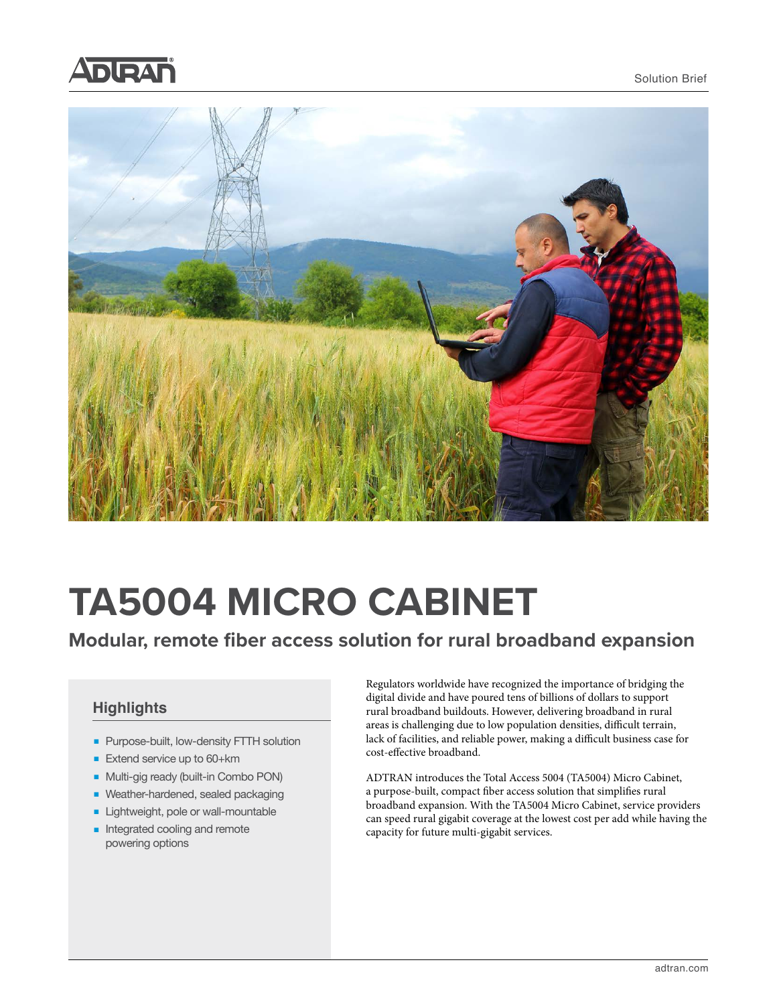



# **TA5004 MICRO CABINET**

# **Modular, remote fiber access solution for rural broadband expansion**

### **Highlights**

- Purpose-built, low-density FTTH solution
- Extend service up to 60+km
- Multi-gig ready (built-in Combo PON)
- Weather-hardened, sealed packaging
- Lightweight, pole or wall-mountable
- Integrated cooling and remote powering options

Regulators worldwide have recognized the importance of bridging the digital divide and have poured tens of billions of dollars to support rural broadband buildouts. However, delivering broadband in rural areas is challenging due to low population densities, difficult terrain, lack of facilities, and reliable power, making a difficult business case for cost-effective broadband.

ADTRAN introduces the Total Access 5004 (TA5004) Micro Cabinet, a purpose-built, compact fiber access solution that simplifies rural broadband expansion. With the TA5004 Micro Cabinet, service providers can speed rural gigabit coverage at the lowest cost per add while having the capacity for future multi-gigabit services.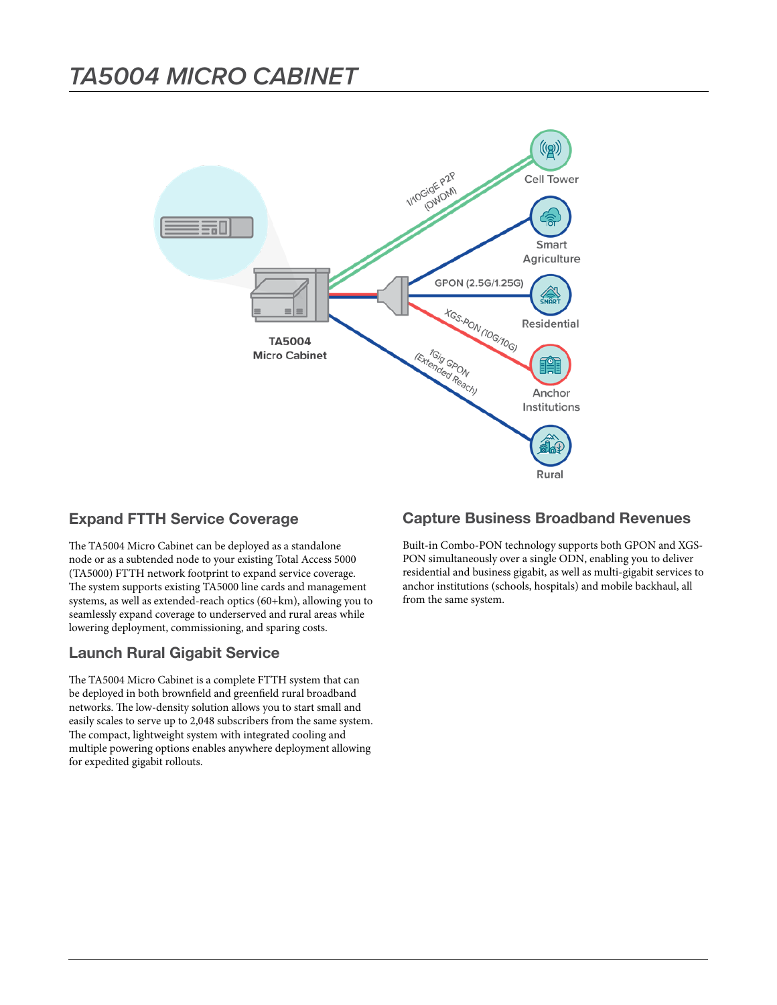

#### **Expand FTTH Service Coverage**

The TA5004 Micro Cabinet can be deployed as a standalone node or as a subtended node to your existing Total Access 5000 (TA5000) FTTH network footprint to expand service coverage. The system supports existing TA5000 line cards and management systems, as well as extended-reach optics (60+km), allowing you to seamlessly expand coverage to underserved and rural areas while lowering deployment, commissioning, and sparing costs.

### **Launch Rural Gigabit Service**

The TA5004 Micro Cabinet is a complete FTTH system that can be deployed in both brownfield and greenfield rural broadband networks. The low-density solution allows you to start small and easily scales to serve up to 2,048 subscribers from the same system. The compact, lightweight system with integrated cooling and multiple powering options enables anywhere deployment allowing for expedited gigabit rollouts.

#### **Capture Business Broadband Revenues**

Built-in Combo-PON technology supports both GPON and XGS-PON simultaneously over a single ODN, enabling you to deliver residential and business gigabit, as well as multi-gigabit services to anchor institutions (schools, hospitals) and mobile backhaul, all from the same system.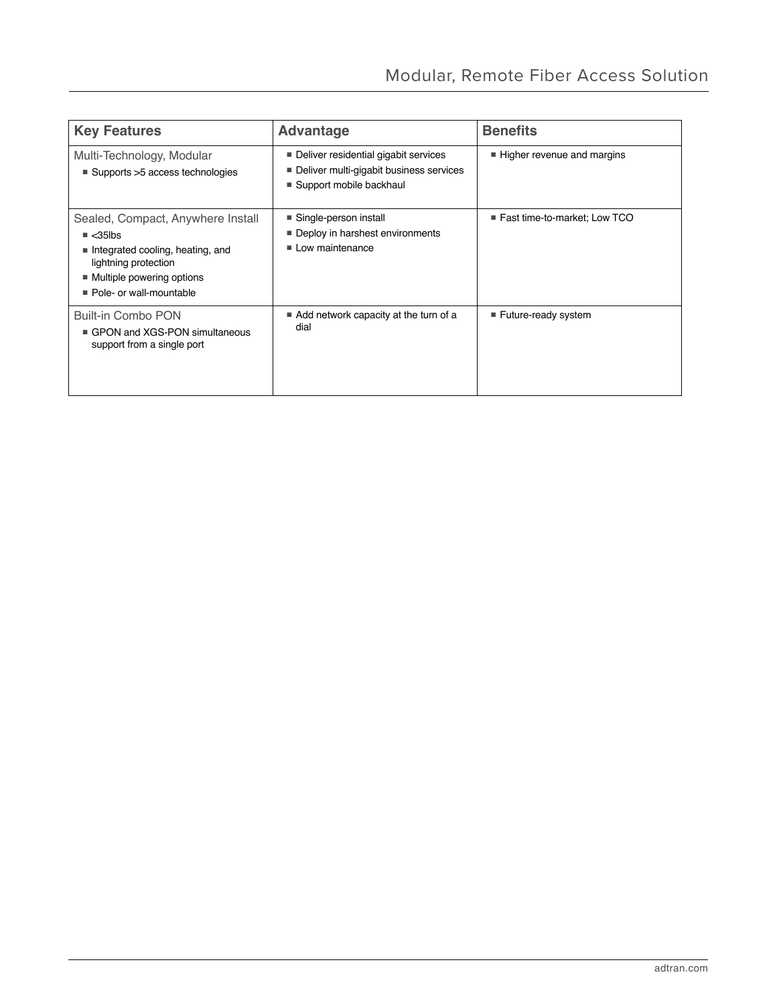| <b>Key Features</b>                                                                                                                                                             | <b>Advantage</b>                                                                                           | <b>Benefits</b>                |
|---------------------------------------------------------------------------------------------------------------------------------------------------------------------------------|------------------------------------------------------------------------------------------------------------|--------------------------------|
| Multi-Technology, Modular<br>$\blacksquare$ Supports > 5 access technologies                                                                                                    | Deliver residential gigabit services<br>Deliver multi-gigabit business services<br>Support mobile backhaul | Higher revenue and margins     |
| Sealed, Compact, Anywhere Install<br>$\triangle$ <35lbs<br>Integrated cooling, heating, and<br>lightning protection<br>■ Multiple powering options<br>■ Pole- or wall-mountable | ■ Single-person install<br>Deploy in harshest environments<br>$\blacksquare$ Low maintenance               | ■ Fast time-to-market; Low TCO |
| Built-in Combo PON<br>GPON and XGS-PON simultaneous<br>support from a single port                                                                                               | ■ Add network capacity at the turn of a<br>dial                                                            | ■ Future-ready system          |